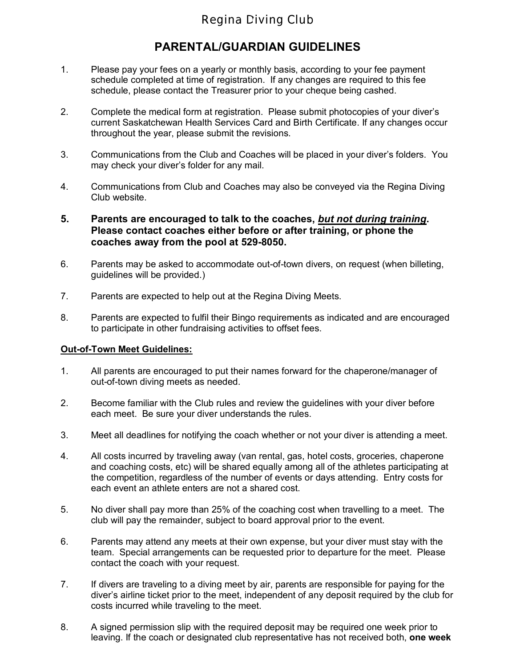## **Regina Diving Club**

### **PARENTAL/GUARDIAN GUIDELINES**

- 1. Please pay your fees on a yearly or monthly basis, according to your fee payment schedule completed at time of registration. If any changes are required to this fee schedule, please contact the Treasurer prior to your cheque being cashed.
- 2. Complete the medical form at registration. Please submit photocopies of your diver's current Saskatchewan Health Services Card and Birth Certificate. If any changes occur throughout the year, please submit the revisions.
- 3. Communications from the Club and Coaches will be placed in your diver's folders. You may check your diver's folder for any mail.
- 4. Communications from Club and Coaches may also be conveyed via the Regina Diving Club website.
- **5. Parents are encouraged to talk to the coaches,** *but not during training***. Please contact coaches either before or after training, or phone the coaches away from the pool at 529-8050.**
- 6. Parents may be asked to accommodate out-of-town divers, on request (when billeting, guidelines will be provided.)
- 7. Parents are expected to help out at the Regina Diving Meets.
- 8. Parents are expected to fulfil their Bingo requirements as indicated and are encouraged to participate in other fundraising activities to offset fees.

#### **Out-of-Town Meet Guidelines:**

- 1. All parents are encouraged to put their names forward for the chaperone/manager of out-of-town diving meets as needed.
- 2. Become familiar with the Club rules and review the guidelines with your diver before each meet. Be sure your diver understands the rules.
- 3. Meet all deadlines for notifying the coach whether or not your diver is attending a meet.
- 4. All costs incurred by traveling away (van rental, gas, hotel costs, groceries, chaperone and coaching costs, etc) will be shared equally among all of the athletes participating at the competition, regardless of the number of events or days attending. Entry costs for each event an athlete enters are not a shared cost.
- 5. No diver shall pay more than 25% of the coaching cost when travelling to a meet. The club will pay the remainder, subject to board approval prior to the event.
- 6. Parents may attend any meets at their own expense, but your diver must stay with the team. Special arrangements can be requested prior to departure for the meet. Please contact the coach with your request.
- 7. If divers are traveling to a diving meet by air, parents are responsible for paying for the diver's airline ticket prior to the meet, independent of any deposit required by the club for costs incurred while traveling to the meet.
- 8. A signed permission slip with the required deposit may be required one week prior to leaving. If the coach or designated club representative has not received both, **one week**